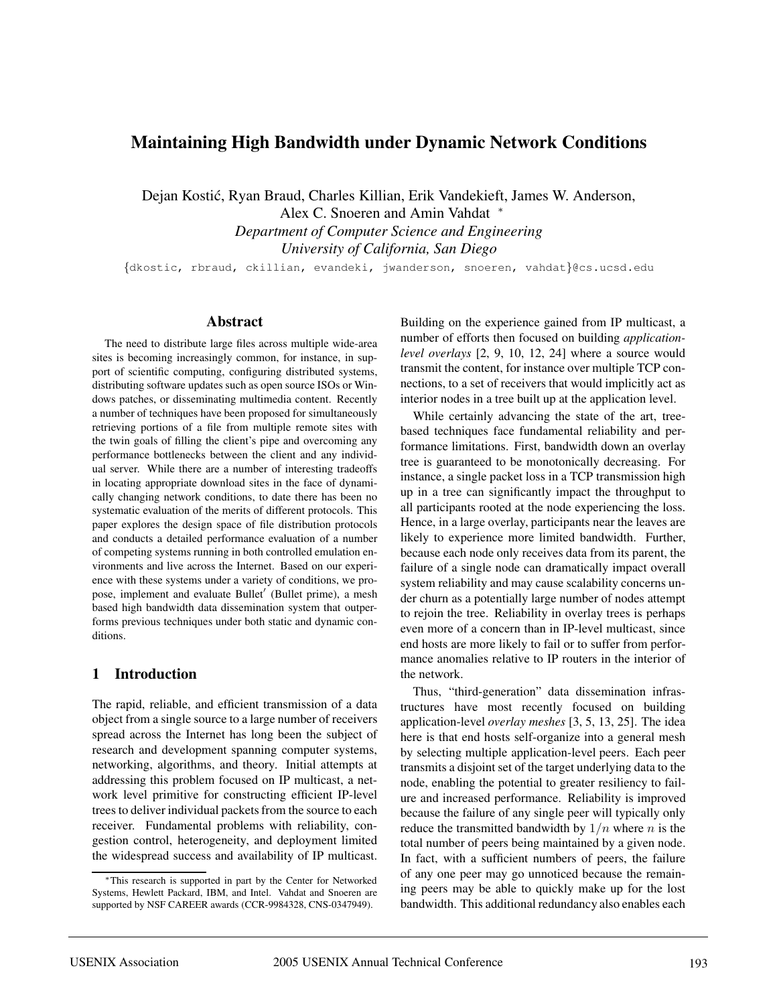# **Maintaining High Bandwidth under Dynamic Network Conditions**

Dejan Kostić, Ryan Braud, Charles Killian, Erik Vandekieft, James W. Anderson, Alex C. Snoeren and Amin Vahdat <sup>∗</sup> *Department of Computer Science and Engineering University of California, San Diego*

{dkostic, rbraud, ckillian, evandeki, jwanderson, snoeren, vahdat}@cs.ucsd.edu

#### **Abstract**

The need to distribute large files across multiple wide-area sites is becoming increasingly common, for instance, in support of scientific computing, configuring distributed systems, distributing software updates such as open source ISOs or Windows patches, or disseminating multimedia content. Recently a number of techniques have been proposed for simultaneously retrieving portions of a file from multiple remote sites with the twin goals of filling the client's pipe and overcoming any performance bottlenecks between the client and any individual server. While there are a number of interesting tradeoffs in locating appropriate download sites in the face of dynamically changing network conditions, to date there has been no systematic evaluation of the merits of different protocols. This paper explores the design space of file distribution protocols and conducts a detailed performance evaluation of a number of competing systems running in both controlled emulation environments and live across the Internet. Based on our experience with these systems under a variety of conditions, we propose, implement and evaluate Bullet' (Bullet prime), a mesh based high bandwidth data dissemination system that outperforms previous techniques under both static and dynamic conditions.

#### **1 Introduction**

The rapid, reliable, and efficient transmission of a data object from a single source to a large number of receivers spread across the Internet has long been the subject of research and development spanning computer systems, networking, algorithms, and theory. Initial attempts at addressing this problem focused on IP multicast, a network level primitive for constructing efficient IP-level trees to deliver individual packets from the source to each receiver. Fundamental problems with reliability, congestion control, heterogeneity, and deployment limited the widespread success and availability of IP multicast.

Building on the experience gained from IP multicast, a number of efforts then focused on building *applicationlevel overlays* [2, 9, 10, 12, 24] where a source would transmit the content, for instance over multiple TCP connections, to a set of receivers that would implicitly act as interior nodes in a tree built up at the application level.

While certainly advancing the state of the art, treebased techniques face fundamental reliability and performance limitations. First, bandwidth down an overlay tree is guaranteed to be monotonically decreasing. For instance, a single packet loss in a TCP transmission high up in a tree can significantly impact the throughput to all participants rooted at the node experiencing the loss. Hence, in a large overlay, participants near the leaves are likely to experience more limited bandwidth. Further, because each node only receives data from its parent, the failure of a single node can dramatically impact overall system reliability and may cause scalability concerns under churn as a potentially large number of nodes attempt to rejoin the tree. Reliability in overlay trees is perhaps even more of a concern than in IP-level multicast, since end hosts are more likely to fail or to suffer from performance anomalies relative to IP routers in the interior of the network.

Thus, "third-generation" data dissemination infrastructures have most recently focused on building application-level *overlay meshes* [3, 5, 13, 25]. The idea here is that end hosts self-organize into a general mesh by selecting multiple application-level peers. Each peer transmits a disjoint set of the target underlying data to the node, enabling the potential to greater resiliency to failure and increased performance. Reliability is improved because the failure of any single peer will typically only reduce the transmitted bandwidth by  $1/n$  where n is the total number of peers being maintained by a given node. In fact, with a sufficient numbers of peers, the failure of any one peer may go unnoticed because the remaining peers may be able to quickly make up for the lost bandwidth. This additional redundancy also enables each

<sup>∗</sup>This research is supported in part by the Center for Networked Systems, Hewlett Packard, IBM, and Intel. Vahdat and Snoeren are supported by NSF CAREER awards (CCR-9984328, CNS-0347949).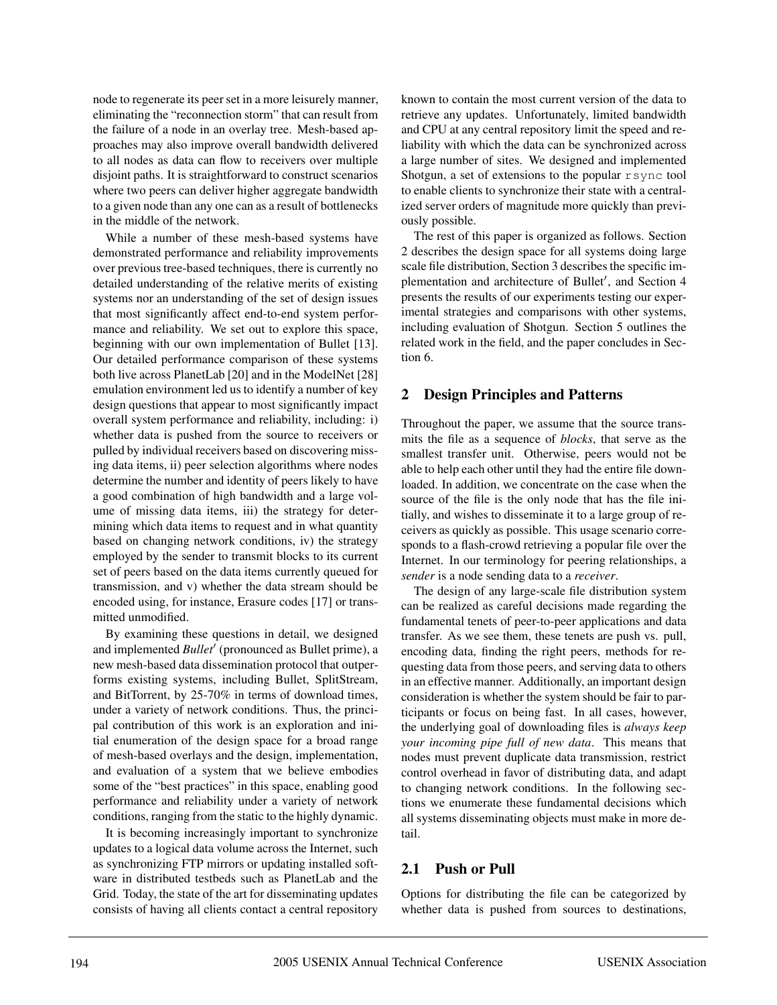node to regenerate its peer set in a more leisurely manner, eliminating the "reconnection storm" that can result from the failure of a node in an overlay tree. Mesh-based approaches may also improve overall bandwidth delivered to all nodes as data can flow to receivers over multiple disjoint paths. It is straightforward to construct scenarios where two peers can deliver higher aggregate bandwidth to a given node than any one can as a result of bottlenecks in the middle of the network.

While a number of these mesh-based systems have demonstrated performance and reliability improvements over previous tree-based techniques, there is currently no detailed understanding of the relative merits of existing systems nor an understanding of the set of design issues that most significantly affect end-to-end system performance and reliability. We set out to explore this space, beginning with our own implementation of Bullet [13]. Our detailed performance comparison of these systems both live across PlanetLab [20] and in the ModelNet [28] emulation environment led us to identify a number of key design questions that appear to most significantly impact overall system performance and reliability, including: i) whether data is pushed from the source to receivers or pulled by individual receivers based on discovering missing data items, ii) peer selection algorithms where nodes determine the number and identity of peers likely to have a good combination of high bandwidth and a large volume of missing data items, iii) the strategy for determining which data items to request and in what quantity based on changing network conditions, iv) the strategy employed by the sender to transmit blocks to its current set of peers based on the data items currently queued for transmission, and v) whether the data stream should be encoded using, for instance, Erasure codes [17] or transmitted unmodified.

By examining these questions in detail, we designed and implemented *Bullet'* (pronounced as Bullet prime), a new mesh-based data dissemination protocol that outperforms existing systems, including Bullet, SplitStream, and BitTorrent, by 25-70% in terms of download times, under a variety of network conditions. Thus, the principal contribution of this work is an exploration and initial enumeration of the design space for a broad range of mesh-based overlays and the design, implementation, and evaluation of a system that we believe embodies some of the "best practices" in this space, enabling good performance and reliability under a variety of network conditions, ranging from the static to the highly dynamic.

It is becoming increasingly important to synchronize updates to a logical data volume across the Internet, such as synchronizing FTP mirrors or updating installed software in distributed testbeds such as PlanetLab and the Grid. Today, the state of the art for disseminating updates consists of having all clients contact a central repository

known to contain the most current version of the data to retrieve any updates. Unfortunately, limited bandwidth and CPU at any central repository limit the speed and reliability with which the data can be synchronized across a large number of sites. We designed and implemented Shotgun, a set of extensions to the popular rsync tool to enable clients to synchronize their state with a centralized server orders of magnitude more quickly than previously possible.

The rest of this paper is organized as follows. Section 2 describes the design space for all systems doing large scale file distribution, Section 3 describes the specific implementation and architecture of Bullet', and Section 4 presents the results of our experiments testing our experimental strategies and comparisons with other systems, including evaluation of Shotgun. Section 5 outlines the related work in the field, and the paper concludes in Section 6.

## **2 Design Principles and Patterns**

Throughout the paper, we assume that the source transmits the file as a sequence of *blocks*, that serve as the smallest transfer unit. Otherwise, peers would not be able to help each other until they had the entire file downloaded. In addition, we concentrate on the case when the source of the file is the only node that has the file initially, and wishes to disseminate it to a large group of receivers as quickly as possible. This usage scenario corresponds to a flash-crowd retrieving a popular file over the Internet. In our terminology for peering relationships, a *sender* is a node sending data to a *receiver*.

The design of any large-scale file distribution system can be realized as careful decisions made regarding the fundamental tenets of peer-to-peer applications and data transfer. As we see them, these tenets are push vs. pull, encoding data, finding the right peers, methods for requesting data from those peers, and serving data to others in an effective manner. Additionally, an important design consideration is whether the system should be fair to participants or focus on being fast. In all cases, however, the underlying goal of downloading files is *always keep your incoming pipe full of new data*. This means that nodes must prevent duplicate data transmission, restrict control overhead in favor of distributing data, and adapt to changing network conditions. In the following sections we enumerate these fundamental decisions which all systems disseminating objects must make in more detail.

## **2.1 Push or Pull**

Options for distributing the file can be categorized by whether data is pushed from sources to destinations,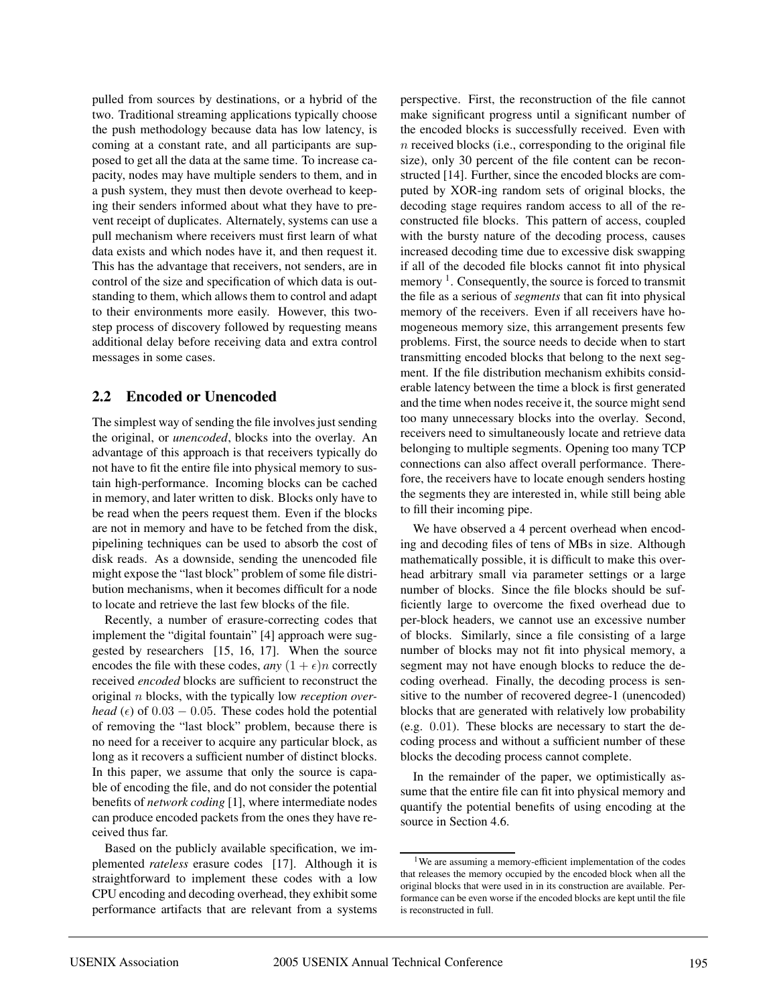pulled from sources by destinations, or a hybrid of the two. Traditional streaming applications typically choose the push methodology because data has low latency, is coming at a constant rate, and all participants are supposed to get all the data at the same time. To increase capacity, nodes may have multiple senders to them, and in a push system, they must then devote overhead to keeping their senders informed about what they have to prevent receipt of duplicates. Alternately, systems can use a pull mechanism where receivers must first learn of what data exists and which nodes have it, and then request it. This has the advantage that receivers, not senders, are in control of the size and specification of which data is outstanding to them, which allows them to control and adapt to their environments more easily. However, this twostep process of discovery followed by requesting means additional delay before receiving data and extra control messages in some cases.

## **2.2 Encoded or Unencoded**

The simplest way of sending the file involves just sending the original, or *unencoded*, blocks into the overlay. An advantage of this approach is that receivers typically do not have to fit the entire file into physical memory to sustain high-performance. Incoming blocks can be cached in memory, and later written to disk. Blocks only have to be read when the peers request them. Even if the blocks are not in memory and have to be fetched from the disk, pipelining techniques can be used to absorb the cost of disk reads. As a downside, sending the unencoded file might expose the "last block" problem of some file distribution mechanisms, when it becomes difficult for a node to locate and retrieve the last few blocks of the file.

Recently, a number of erasure-correcting codes that implement the "digital fountain" [4] approach were suggested by researchers [15, 16, 17]. When the source encodes the file with these codes, *any*  $(1 + \epsilon)n$  correctly received *encoded* blocks are sufficient to reconstruct the original n blocks, with the typically low *reception overhead* ( $\epsilon$ ) of 0.03 – 0.05. These codes hold the potential of removing the "last block" problem, because there is no need for a receiver to acquire any particular block, as long as it recovers a sufficient number of distinct blocks. In this paper, we assume that only the source is capable of encoding the file, and do not consider the potential benefits of *network coding* [1], where intermediate nodes can produce encoded packets from the ones they have received thus far.

Based on the publicly available specification, we implemented *rateless* erasure codes [17]. Although it is straightforward to implement these codes with a low CPU encoding and decoding overhead, they exhibit some performance artifacts that are relevant from a systems

perspective. First, the reconstruction of the file cannot make significant progress until a significant number of the encoded blocks is successfully received. Even with  $n$  received blocks (i.e., corresponding to the original file size), only 30 percent of the file content can be reconstructed [14]. Further, since the encoded blocks are computed by XOR-ing random sets of original blocks, the decoding stage requires random access to all of the reconstructed file blocks. This pattern of access, coupled with the bursty nature of the decoding process, causes increased decoding time due to excessive disk swapping if all of the decoded file blocks cannot fit into physical memory  $\frac{1}{1}$ . Consequently, the source is forced to transmit the file as a serious of *segments* that can fit into physical memory of the receivers. Even if all receivers have homogeneous memory size, this arrangement presents few problems. First, the source needs to decide when to start transmitting encoded blocks that belong to the next segment. If the file distribution mechanism exhibits considerable latency between the time a block is first generated and the time when nodes receive it, the source might send too many unnecessary blocks into the overlay. Second, receivers need to simultaneously locate and retrieve data belonging to multiple segments. Opening too many TCP connections can also affect overall performance. Therefore, the receivers have to locate enough senders hosting the segments they are interested in, while still being able to fill their incoming pipe.

We have observed a 4 percent overhead when encoding and decoding files of tens of MBs in size. Although mathematically possible, it is difficult to make this overhead arbitrary small via parameter settings or a large number of blocks. Since the file blocks should be sufficiently large to overcome the fixed overhead due to per-block headers, we cannot use an excessive number of blocks. Similarly, since a file consisting of a large number of blocks may not fit into physical memory, a segment may not have enough blocks to reduce the decoding overhead. Finally, the decoding process is sensitive to the number of recovered degree-1 (unencoded) blocks that are generated with relatively low probability (e.g. 0.01). These blocks are necessary to start the decoding process and without a sufficient number of these blocks the decoding process cannot complete.

In the remainder of the paper, we optimistically assume that the entire file can fit into physical memory and quantify the potential benefits of using encoding at the source in Section 4.6.

<sup>1</sup>We are assuming a memory-efficient implementation of the codes that releases the memory occupied by the encoded block when all the original blocks that were used in in its construction are available. Performance can be even worse if the encoded blocks are kept until the file is reconstructed in full.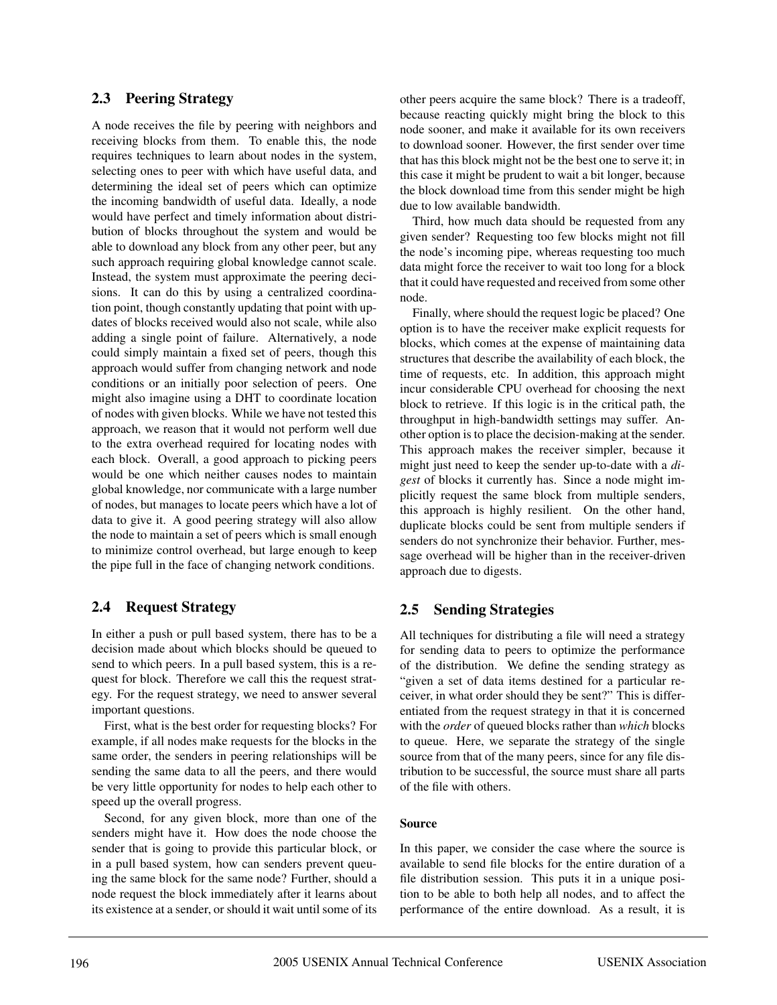## **2.3 Peering Strategy**

A node receives the file by peering with neighbors and receiving blocks from them. To enable this, the node requires techniques to learn about nodes in the system, selecting ones to peer with which have useful data, and determining the ideal set of peers which can optimize the incoming bandwidth of useful data. Ideally, a node would have perfect and timely information about distribution of blocks throughout the system and would be able to download any block from any other peer, but any such approach requiring global knowledge cannot scale. Instead, the system must approximate the peering decisions. It can do this by using a centralized coordination point, though constantly updating that point with updates of blocks received would also not scale, while also adding a single point of failure. Alternatively, a node could simply maintain a fixed set of peers, though this approach would suffer from changing network and node conditions or an initially poor selection of peers. One might also imagine using a DHT to coordinate location of nodes with given blocks. While we have not tested this approach, we reason that it would not perform well due to the extra overhead required for locating nodes with each block. Overall, a good approach to picking peers would be one which neither causes nodes to maintain global knowledge, nor communicate with a large number of nodes, but manages to locate peers which have a lot of data to give it. A good peering strategy will also allow the node to maintain a set of peers which is small enough to minimize control overhead, but large enough to keep the pipe full in the face of changing network conditions.

# **2.4 Request Strategy**

In either a push or pull based system, there has to be a decision made about which blocks should be queued to send to which peers. In a pull based system, this is a request for block. Therefore we call this the request strategy. For the request strategy, we need to answer several important questions.

First, what is the best order for requesting blocks? For example, if all nodes make requests for the blocks in the same order, the senders in peering relationships will be sending the same data to all the peers, and there would be very little opportunity for nodes to help each other to speed up the overall progress.

Second, for any given block, more than one of the senders might have it. How does the node choose the sender that is going to provide this particular block, or in a pull based system, how can senders prevent queuing the same block for the same node? Further, should a node request the block immediately after it learns about its existence at a sender, or should it wait until some of its other peers acquire the same block? There is a tradeoff, because reacting quickly might bring the block to this node sooner, and make it available for its own receivers to download sooner. However, the first sender over time that has this block might not be the best one to serve it; in this case it might be prudent to wait a bit longer, because the block download time from this sender might be high due to low available bandwidth.

Third, how much data should be requested from any given sender? Requesting too few blocks might not fill the node's incoming pipe, whereas requesting too much data might force the receiver to wait too long for a block that it could have requested and received from some other node.

Finally, where should the request logic be placed? One option is to have the receiver make explicit requests for blocks, which comes at the expense of maintaining data structures that describe the availability of each block, the time of requests, etc. In addition, this approach might incur considerable CPU overhead for choosing the next block to retrieve. If this logic is in the critical path, the throughput in high-bandwidth settings may suffer. Another option is to place the decision-making at the sender. This approach makes the receiver simpler, because it might just need to keep the sender up-to-date with a *digest* of blocks it currently has. Since a node might implicitly request the same block from multiple senders, this approach is highly resilient. On the other hand, duplicate blocks could be sent from multiple senders if senders do not synchronize their behavior. Further, message overhead will be higher than in the receiver-driven approach due to digests.

# **2.5 Sending Strategies**

All techniques for distributing a file will need a strategy for sending data to peers to optimize the performance of the distribution. We define the sending strategy as "given a set of data items destined for a particular receiver, in what order should they be sent?" This is differentiated from the request strategy in that it is concerned with the *order* of queued blocks rather than *which* blocks to queue. Here, we separate the strategy of the single source from that of the many peers, since for any file distribution to be successful, the source must share all parts of the file with others.

#### **Source**

In this paper, we consider the case where the source is available to send file blocks for the entire duration of a file distribution session. This puts it in a unique position to be able to both help all nodes, and to affect the performance of the entire download. As a result, it is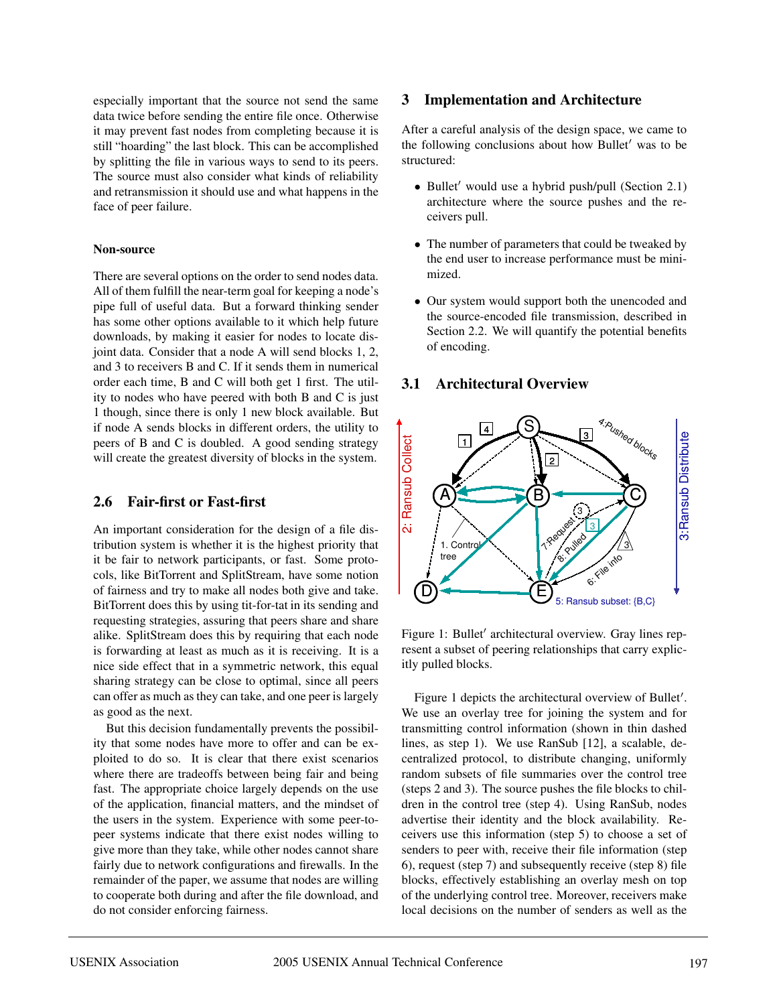especially important that the source not send the same data twice before sending the entire file once. Otherwise it may prevent fast nodes from completing because it is still "hoarding" the last block. This can be accomplished by splitting the file in various ways to send to its peers. The source must also consider what kinds of reliability and retransmission it should use and what happens in the face of peer failure.

#### **Non-source**

There are several options on the order to send nodes data. All of them fulfill the near-term goal for keeping a node's pipe full of useful data. But a forward thinking sender has some other options available to it which help future downloads, by making it easier for nodes to locate disjoint data. Consider that a node A will send blocks 1, 2, and 3 to receivers B and C. If it sends them in numerical order each time, B and C will both get 1 first. The utility to nodes who have peered with both B and C is just 1 though, since there is only 1 new block available. But if node A sends blocks in different orders, the utility to peers of B and C is doubled. A good sending strategy will create the greatest diversity of blocks in the system.

### **2.6 Fair-first or Fast-first**

An important consideration for the design of a file distribution system is whether it is the highest priority that it be fair to network participants, or fast. Some protocols, like BitTorrent and SplitStream, have some notion of fairness and try to make all nodes both give and take. BitTorrent does this by using tit-for-tat in its sending and requesting strategies, assuring that peers share and share alike. SplitStream does this by requiring that each node is forwarding at least as much as it is receiving. It is a nice side effect that in a symmetric network, this equal sharing strategy can be close to optimal, since all peers can offer as much as they can take, and one peer is largely as good as the next.

But this decision fundamentally prevents the possibility that some nodes have more to offer and can be exploited to do so. It is clear that there exist scenarios where there are tradeoffs between being fair and being fast. The appropriate choice largely depends on the use of the application, financial matters, and the mindset of the users in the system. Experience with some peer-topeer systems indicate that there exist nodes willing to give more than they take, while other nodes cannot share fairly due to network configurations and firewalls. In the remainder of the paper, we assume that nodes are willing to cooperate both during and after the file download, and do not consider enforcing fairness.

#### **3 Implementation and Architecture**

After a careful analysis of the design space, we came to the following conclusions about how Bullet' was to be structured:

- Bullet' would use a hybrid push/pull (Section 2.1) architecture where the source pushes and the receivers pull.
- The number of parameters that could be tweaked by the end user to increase performance must be minimized.
- Our system would support both the unencoded and the source-encoded file transmission, described in Section 2.2. We will quantify the potential benefits of encoding.

## **3.1 Architectural Overview**



Figure 1: Bullet' architectural overview. Gray lines represent a subset of peering relationships that carry explicitly pulled blocks.

Figure 1 depicts the architectural overview of Bullet'. We use an overlay tree for joining the system and for transmitting control information (shown in thin dashed lines, as step 1). We use RanSub [12], a scalable, decentralized protocol, to distribute changing, uniformly random subsets of file summaries over the control tree (steps 2 and 3). The source pushes the file blocks to children in the control tree (step 4). Using RanSub, nodes advertise their identity and the block availability. Receivers use this information (step 5) to choose a set of senders to peer with, receive their file information (step 6), request (step 7) and subsequently receive (step 8) file blocks, effectively establishing an overlay mesh on top of the underlying control tree. Moreover, receivers make local decisions on the number of senders as well as the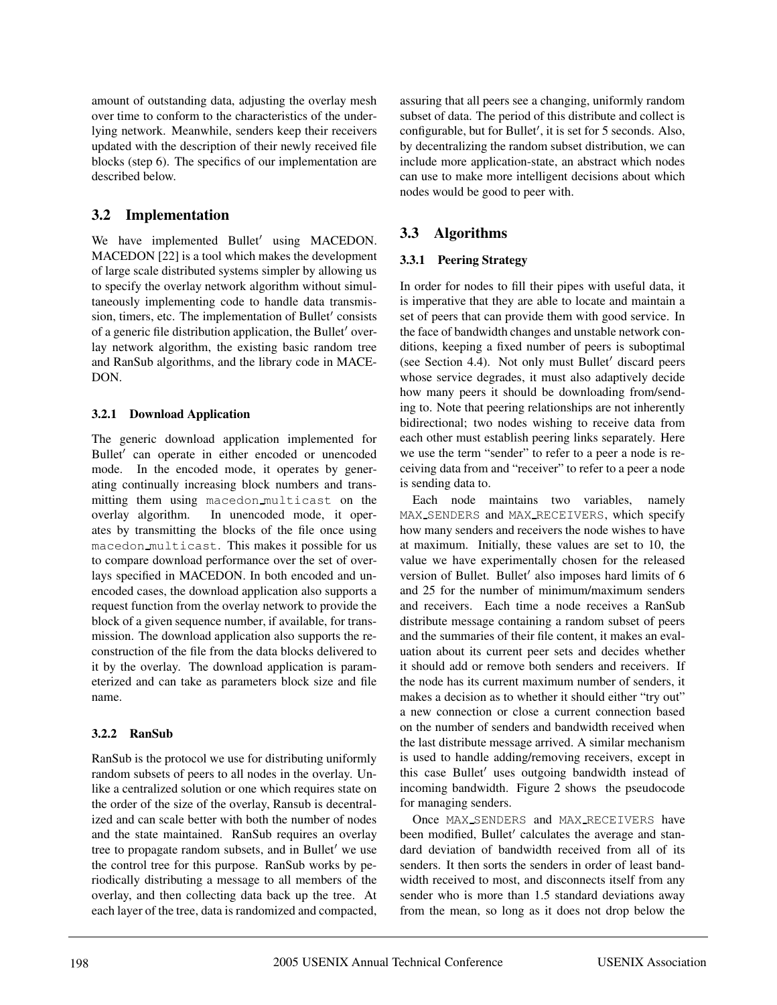amount of outstanding data, adjusting the overlay mesh over time to conform to the characteristics of the underlying network. Meanwhile, senders keep their receivers updated with the description of their newly received file blocks (step 6). The specifics of our implementation are described below.

# **3.2 Implementation**

We have implemented Bullet' using MACEDON. MACEDON [22] is a tool which makes the development of large scale distributed systems simpler by allowing us to specify the overlay network algorithm without simultaneously implementing code to handle data transmission, timers, etc. The implementation of Bullet' consists of a generic file distribution application, the Bullet' overlay network algorithm, the existing basic random tree and RanSub algorithms, and the library code in MACE-DON.

## **3.2.1 Download Application**

The generic download application implemented for Bullet' can operate in either encoded or unencoded mode. In the encoded mode, it operates by generating continually increasing block numbers and transmitting them using macedon multicast on the overlay algorithm. In unencoded mode, it operates by transmitting the blocks of the file once using macedon multicast. This makes it possible for us to compare download performance over the set of overlays specified in MACEDON. In both encoded and unencoded cases, the download application also supports a request function from the overlay network to provide the block of a given sequence number, if available, for transmission. The download application also supports the reconstruction of the file from the data blocks delivered to it by the overlay. The download application is parameterized and can take as parameters block size and file name.

## **3.2.2 RanSub**

RanSub is the protocol we use for distributing uniformly random subsets of peers to all nodes in the overlay. Unlike a centralized solution or one which requires state on the order of the size of the overlay, Ransub is decentralized and can scale better with both the number of nodes and the state maintained. RanSub requires an overlay tree to propagate random subsets, and in Bullet' we use the control tree for this purpose. RanSub works by periodically distributing a message to all members of the overlay, and then collecting data back up the tree. At each layer of the tree, data is randomized and compacted, assuring that all peers see a changing, uniformly random subset of data. The period of this distribute and collect is configurable, but for Bullet', it is set for 5 seconds. Also, by decentralizing the random subset distribution, we can include more application-state, an abstract which nodes can use to make more intelligent decisions about which nodes would be good to peer with.

# **3.3 Algorithms**

## **3.3.1 Peering Strategy**

In order for nodes to fill their pipes with useful data, it is imperative that they are able to locate and maintain a set of peers that can provide them with good service. In the face of bandwidth changes and unstable network conditions, keeping a fixed number of peers is suboptimal (see Section 4.4). Not only must Bullet' discard peers whose service degrades, it must also adaptively decide how many peers it should be downloading from/sending to. Note that peering relationships are not inherently bidirectional; two nodes wishing to receive data from each other must establish peering links separately. Here we use the term "sender" to refer to a peer a node is receiving data from and "receiver" to refer to a peer a node is sending data to.

Each node maintains two variables, namely MAX SENDERS and MAX RECEIVERS, which specify how many senders and receivers the node wishes to have at maximum. Initially, these values are set to 10, the value we have experimentally chosen for the released version of Bullet. Bullet' also imposes hard limits of 6 and 25 for the number of minimum/maximum senders and receivers. Each time a node receives a RanSub distribute message containing a random subset of peers and the summaries of their file content, it makes an evaluation about its current peer sets and decides whether it should add or remove both senders and receivers. If the node has its current maximum number of senders, it makes a decision as to whether it should either "try out" a new connection or close a current connection based on the number of senders and bandwidth received when the last distribute message arrived. A similar mechanism is used to handle adding/removing receivers, except in this case Bullet' uses outgoing bandwidth instead of incoming bandwidth. Figure 2 shows the pseudocode for managing senders.

Once MAX SENDERS and MAX RECEIVERS have been modified, Bullet' calculates the average and standard deviation of bandwidth received from all of its senders. It then sorts the senders in order of least bandwidth received to most, and disconnects itself from any sender who is more than 1.5 standard deviations away from the mean, so long as it does not drop below the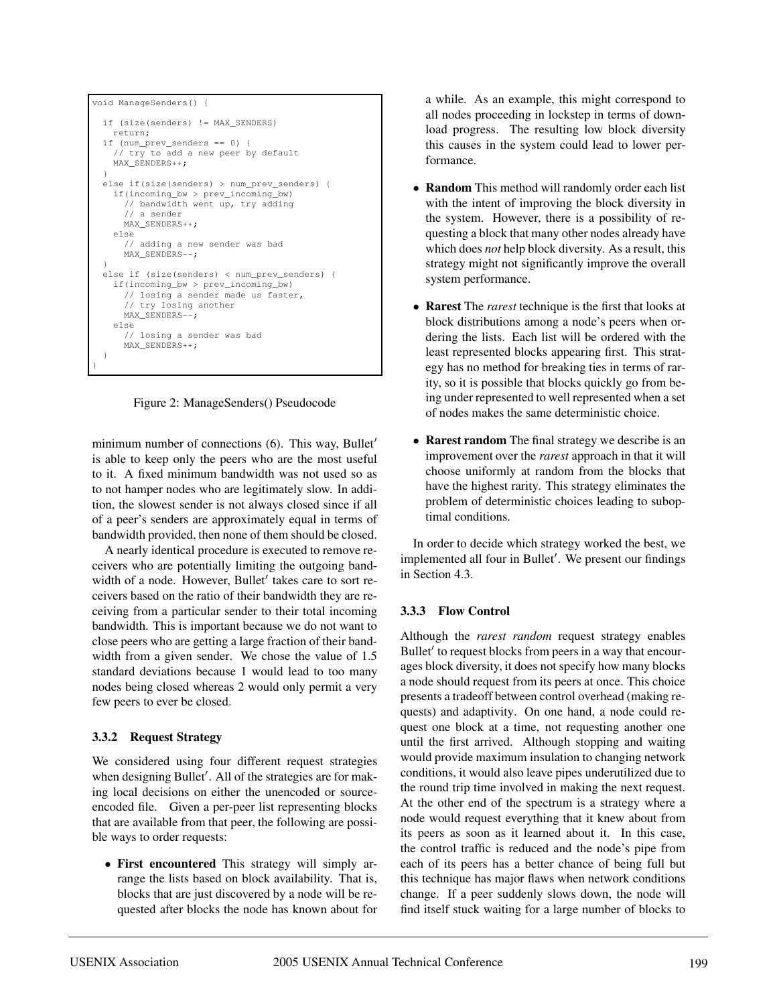```
void ManageSenders() {
  if (size(senders) != MAX_SENDERS)
    return;
 if (num_prev_senders == 0) {
    // try to add a new peer by default
   MAX_SENDERS++;
  }
 else if(size(senders) > num_prev_senders) {
   if(incoming_bw > prev_incoming_bw)
     // bandwidth went up, try adding
      // a sender
     MAX_SENDERS++;
   else
      // adding a new sender was bad
     MAX_SENDERS--;
  }
 else if (size(senders) < num_prev_senders) {
   if(incoming_bw > prev_incoming_bw)
     // losing a sender made us faster,
      // try losing another
     MAX_SENDERS--;
   else
      // losing a sender was bad
     MAX_SENDERS++;
  }
}
```
Figure 2: ManageSenders() Pseudocode

minimum number of connections  $(6)$ . This way, Bullet' is able to keep only the peers who are the most useful to it. A fixed minimum bandwidth was not used so as to not hamper nodes who are legitimately slow. In addition, the slowest sender is not always closed since if all of a peer's senders are approximately equal in terms of bandwidth provided, then none of them should be closed.

A nearly identical procedure is executed to remove receivers who are potentially limiting the outgoing bandwidth of a node. However, Bullet' takes care to sort receivers based on the ratio of their bandwidth they are receiving from a particular sender to their total incoming bandwidth. This is important because we do not want to close peers who are getting a large fraction of their bandwidth from a given sender. We chose the value of 1.5 standard deviations because 1 would lead to too many nodes being closed whereas 2 would only permit a very few peers to ever be closed.

## **3.3.2 Request Strategy**

We considered using four different request strategies when designing Bullet'. All of the strategies are for making local decisions on either the unencoded or sourceencoded file. Given a per-peer list representing blocks that are available from that peer, the following are possible ways to order requests:

• **First encountered** This strategy will simply arrange the lists based on block availability. That is, blocks that are just discovered by a node will be requested after blocks the node has known about for

a while. As an example, this might correspond to all nodes proceeding in lockstep in terms of download progress. The resulting low block diversity this causes in the system could lead to lower performance.

- **Random** This method will randomly order each list with the intent of improving the block diversity in the system. However, there is a possibility of requesting a block that many other nodes already have which does *not* help block diversity. As a result, this strategy might not significantly improve the overall system performance.
- **Rarest** The *rarest* technique is the first that looks at block distributions among a node's peers when ordering the lists. Each list will be ordered with the least represented blocks appearing first. This strategy has no method for breaking ties in terms of rarity, so it is possible that blocks quickly go from being under represented to well represented when a set of nodes makes the same deterministic choice.
- **Rarest random** The final strategy we describe is an improvement over the *rarest* approach in that it will choose uniformly at random from the blocks that have the highest rarity. This strategy eliminates the problem of deterministic choices leading to suboptimal conditions.

In order to decide which strategy worked the best, we implemented all four in Bullet'. We present our findings in Section 4.3.

## **3.3.3 Flow Control**

Although the *rarest random* request strategy enables Bullet' to request blocks from peers in a way that encourages block diversity, it does not specify how many blocks a node should request from its peers at once. This choice presents a tradeoff between control overhead (making requests) and adaptivity. On one hand, a node could request one block at a time, not requesting another one until the first arrived. Although stopping and waiting would provide maximum insulation to changing network conditions, it would also leave pipes underutilized due to the round trip time involved in making the next request. At the other end of the spectrum is a strategy where a node would request everything that it knew about from its peers as soon as it learned about it. In this case, the control traffic is reduced and the node's pipe from each of its peers has a better chance of being full but this technique has major flaws when network conditions change. If a peer suddenly slows down, the node will find itself stuck waiting for a large number of blocks to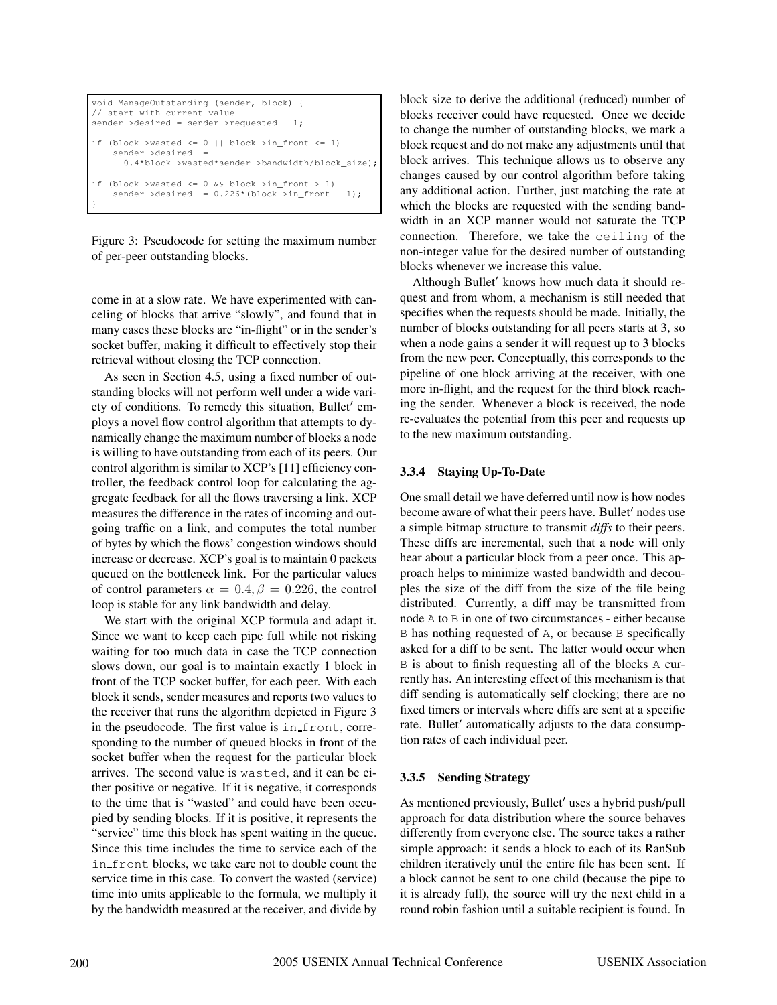```
void ManageOutstanding (sender, block) {
// start with current value
sender->desired = sender->requested + 1;
if (block->wasted <= 0 || block->in_front <= 1)
   sender->desired -=
     0.4*block->wasted*sender->bandwidth/block_size);
if (block->wasted <= 0 && block->in_front > 1)
    sender->desired -= 0.226*(block->in\_front - 1);}
```
Figure 3: Pseudocode for setting the maximum number of per-peer outstanding blocks.

come in at a slow rate. We have experimented with canceling of blocks that arrive "slowly", and found that in many cases these blocks are "in-flight" or in the sender's socket buffer, making it difficult to effectively stop their retrieval without closing the TCP connection.

As seen in Section 4.5, using a fixed number of outstanding blocks will not perform well under a wide variety of conditions. To remedy this situation, Bullet' employs a novel flow control algorithm that attempts to dynamically change the maximum number of blocks a node is willing to have outstanding from each of its peers. Our control algorithm is similar to XCP's [11] efficiency controller, the feedback control loop for calculating the aggregate feedback for all the flows traversing a link. XCP measures the difference in the rates of incoming and outgoing traffic on a link, and computes the total number of bytes by which the flows' congestion windows should increase or decrease. XCP's goal is to maintain 0 packets queued on the bottleneck link. For the particular values of control parameters  $\alpha = 0.4$ ,  $\beta = 0.226$ , the control loop is stable for any link bandwidth and delay.

We start with the original XCP formula and adapt it. Since we want to keep each pipe full while not risking waiting for too much data in case the TCP connection slows down, our goal is to maintain exactly 1 block in front of the TCP socket buffer, for each peer. With each block it sends, sender measures and reports two values to the receiver that runs the algorithm depicted in Figure 3 in the pseudocode. The first value is in front, corresponding to the number of queued blocks in front of the socket buffer when the request for the particular block arrives. The second value is wasted, and it can be either positive or negative. If it is negative, it corresponds to the time that is "wasted" and could have been occupied by sending blocks. If it is positive, it represents the "service" time this block has spent waiting in the queue. Since this time includes the time to service each of the in front blocks, we take care not to double count the service time in this case. To convert the wasted (service) time into units applicable to the formula, we multiply it by the bandwidth measured at the receiver, and divide by block size to derive the additional (reduced) number of blocks receiver could have requested. Once we decide to change the number of outstanding blocks, we mark a block request and do not make any adjustments until that block arrives. This technique allows us to observe any changes caused by our control algorithm before taking any additional action. Further, just matching the rate at which the blocks are requested with the sending bandwidth in an XCP manner would not saturate the TCP connection. Therefore, we take the ceiling of the non-integer value for the desired number of outstanding blocks whenever we increase this value.

Although Bullet' knows how much data it should request and from whom, a mechanism is still needed that specifies when the requests should be made. Initially, the number of blocks outstanding for all peers starts at 3, so when a node gains a sender it will request up to 3 blocks from the new peer. Conceptually, this corresponds to the pipeline of one block arriving at the receiver, with one more in-flight, and the request for the third block reaching the sender. Whenever a block is received, the node re-evaluates the potential from this peer and requests up to the new maximum outstanding.

### **3.3.4 Staying Up-To-Date**

One small detail we have deferred until now is how nodes become aware of what their peers have. Bullet' nodes use a simple bitmap structure to transmit *diffs* to their peers. These diffs are incremental, such that a node will only hear about a particular block from a peer once. This approach helps to minimize wasted bandwidth and decouples the size of the diff from the size of the file being distributed. Currently, a diff may be transmitted from node A to B in one of two circumstances - either because B has nothing requested of A, or because B specifically asked for a diff to be sent. The latter would occur when B is about to finish requesting all of the blocks A currently has. An interesting effect of this mechanism is that diff sending is automatically self clocking; there are no fixed timers or intervals where diffs are sent at a specific rate. Bullet' automatically adjusts to the data consumption rates of each individual peer.

#### **3.3.5 Sending Strategy**

As mentioned previously, Bullet' uses a hybrid push/pull approach for data distribution where the source behaves differently from everyone else. The source takes a rather simple approach: it sends a block to each of its RanSub children iteratively until the entire file has been sent. If a block cannot be sent to one child (because the pipe to it is already full), the source will try the next child in a round robin fashion until a suitable recipient is found. In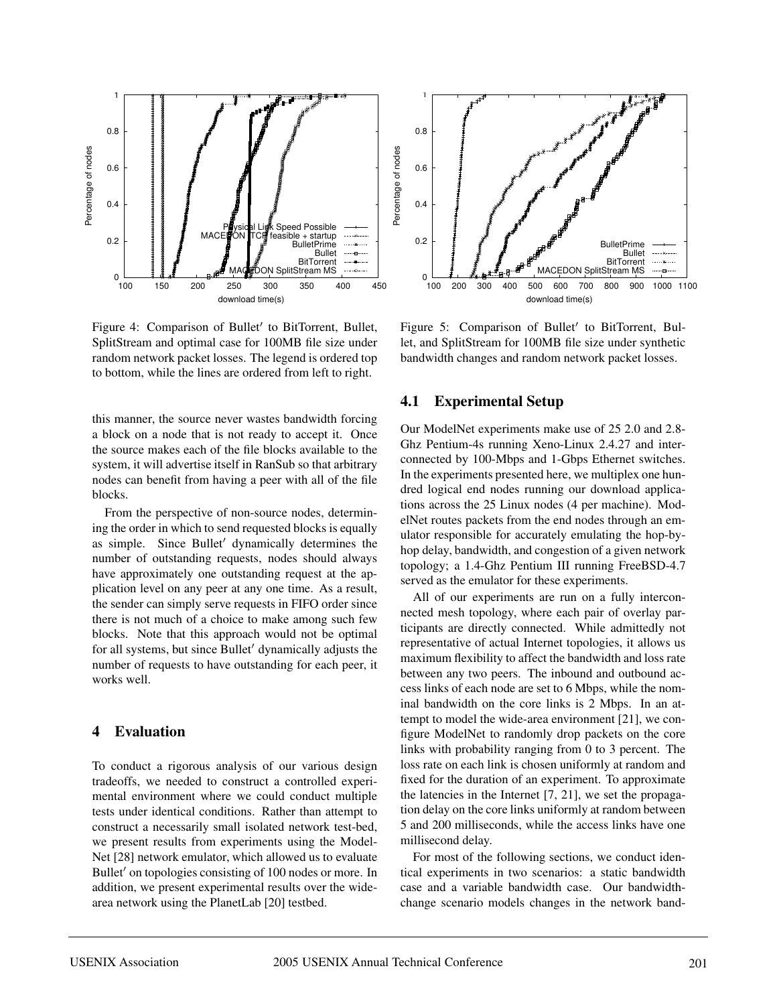

Figure 4: Comparison of Bullet' to BitTorrent, Bullet, SplitStream and optimal case for 100MB file size under random network packet losses. The legend is ordered top to bottom, while the lines are ordered from left to right.

this manner, the source never wastes bandwidth forcing a block on a node that is not ready to accept it. Once the source makes each of the file blocks available to the system, it will advertise itself in RanSub so that arbitrary nodes can benefit from having a peer with all of the file blocks.

From the perspective of non-source nodes, determining the order in which to send requested blocks is equally as simple. Since Bullet' dynamically determines the number of outstanding requests, nodes should always have approximately one outstanding request at the application level on any peer at any one time. As a result, the sender can simply serve requests in FIFO order since there is not much of a choice to make among such few blocks. Note that this approach would not be optimal for all systems, but since Bullet' dynamically adjusts the number of requests to have outstanding for each peer, it works well.

### **4 Evaluation**

To conduct a rigorous analysis of our various design tradeoffs, we needed to construct a controlled experimental environment where we could conduct multiple tests under identical conditions. Rather than attempt to construct a necessarily small isolated network test-bed, we present results from experiments using the Model-Net [28] network emulator, which allowed us to evaluate Bullet' on topologies consisting of 100 nodes or more. In addition, we present experimental results over the widearea network using the PlanetLab [20] testbed.



Figure 5: Comparison of Bullet' to BitTorrent, Bullet, and SplitStream for 100MB file size under synthetic bandwidth changes and random network packet losses.

#### **4.1 Experimental Setup**

Our ModelNet experiments make use of 25 2.0 and 2.8- Ghz Pentium-4s running Xeno-Linux 2.4.27 and interconnected by 100-Mbps and 1-Gbps Ethernet switches. In the experiments presented here, we multiplex one hundred logical end nodes running our download applications across the 25 Linux nodes (4 per machine). ModelNet routes packets from the end nodes through an emulator responsible for accurately emulating the hop-byhop delay, bandwidth, and congestion of a given network topology; a 1.4-Ghz Pentium III running FreeBSD-4.7 served as the emulator for these experiments.

All of our experiments are run on a fully interconnected mesh topology, where each pair of overlay participants are directly connected. While admittedly not representative of actual Internet topologies, it allows us maximum flexibility to affect the bandwidth and loss rate between any two peers. The inbound and outbound access links of each node are set to 6 Mbps, while the nominal bandwidth on the core links is 2 Mbps. In an attempt to model the wide-area environment [21], we configure ModelNet to randomly drop packets on the core links with probability ranging from 0 to 3 percent. The loss rate on each link is chosen uniformly at random and fixed for the duration of an experiment. To approximate the latencies in the Internet [7, 21], we set the propagation delay on the core links uniformly at random between 5 and 200 milliseconds, while the access links have one millisecond delay.

For most of the following sections, we conduct identical experiments in two scenarios: a static bandwidth case and a variable bandwidth case. Our bandwidthchange scenario models changes in the network band-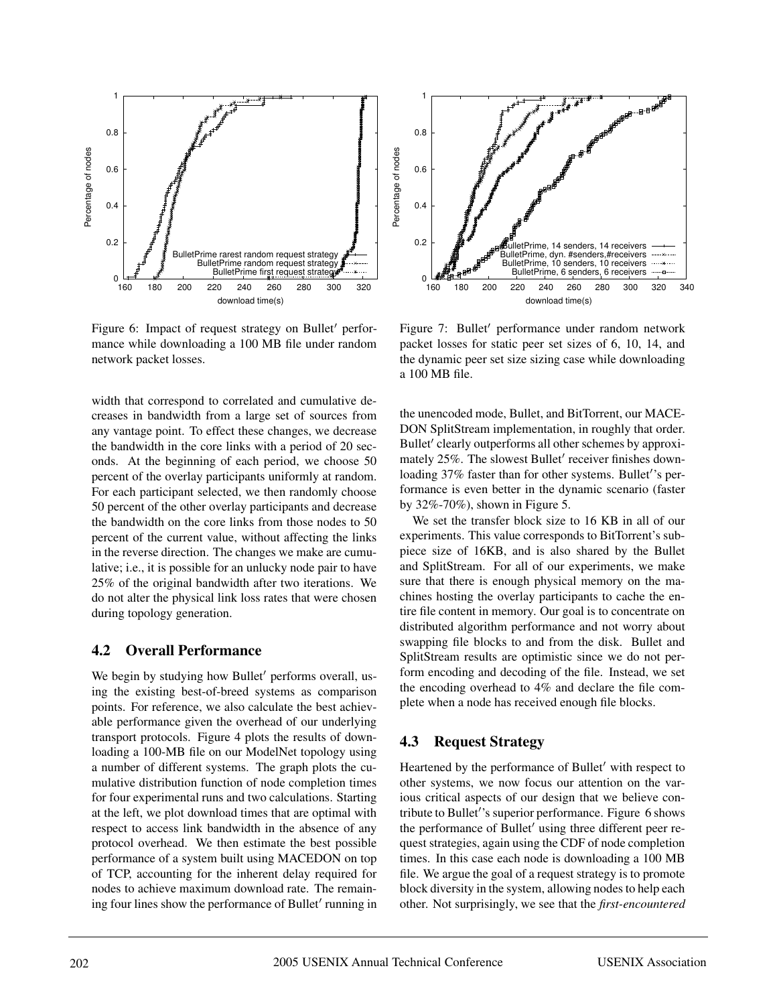

Figure 6: Impact of request strategy on Bullet' performance while downloading a 100 MB file under random network packet losses.

width that correspond to correlated and cumulative decreases in bandwidth from a large set of sources from any vantage point. To effect these changes, we decrease the bandwidth in the core links with a period of 20 seconds. At the beginning of each period, we choose 50 percent of the overlay participants uniformly at random. For each participant selected, we then randomly choose 50 percent of the other overlay participants and decrease the bandwidth on the core links from those nodes to 50 percent of the current value, without affecting the links in the reverse direction. The changes we make are cumulative; i.e., it is possible for an unlucky node pair to have 25% of the original bandwidth after two iterations. We do not alter the physical link loss rates that were chosen during topology generation.

### **4.2 Overall Performance**

We begin by studying how Bullet' performs overall, using the existing best-of-breed systems as comparison points. For reference, we also calculate the best achievable performance given the overhead of our underlying transport protocols. Figure 4 plots the results of downloading a 100-MB file on our ModelNet topology using a number of different systems. The graph plots the cumulative distribution function of node completion times for four experimental runs and two calculations. Starting at the left, we plot download times that are optimal with respect to access link bandwidth in the absence of any protocol overhead. We then estimate the best possible performance of a system built using MACEDON on top of TCP, accounting for the inherent delay required for nodes to achieve maximum download rate. The remaining four lines show the performance of Bullet' running in



Figure 7: Bullet' performance under random network packet losses for static peer set sizes of 6, 10, 14, and the dynamic peer set size sizing case while downloading a 100 MB file.

the unencoded mode, Bullet, and BitTorrent, our MACE-DON SplitStream implementation, in roughly that order. Bullet' clearly outperforms all other schemes by approximately 25%. The slowest Bullet' receiver finishes downloading 37% faster than for other systems. Bullet''s performance is even better in the dynamic scenario (faster by 32%-70%), shown in Figure 5.

We set the transfer block size to 16 KB in all of our experiments. This value corresponds to BitTorrent's subpiece size of 16KB, and is also shared by the Bullet and SplitStream. For all of our experiments, we make sure that there is enough physical memory on the machines hosting the overlay participants to cache the entire file content in memory. Our goal is to concentrate on distributed algorithm performance and not worry about swapping file blocks to and from the disk. Bullet and SplitStream results are optimistic since we do not perform encoding and decoding of the file. Instead, we set the encoding overhead to 4% and declare the file complete when a node has received enough file blocks.

## **4.3 Request Strategy**

Heartened by the performance of Bullet' with respect to other systems, we now focus our attention on the various critical aspects of our design that we believe contribute to Bullet''s superior performance. Figure 6 shows the performance of Bullet' using three different peer request strategies, again using the CDF of node completion times. In this case each node is downloading a 100 MB file. We argue the goal of a request strategy is to promote block diversity in the system, allowing nodes to help each other. Not surprisingly, we see that the *first-encountered*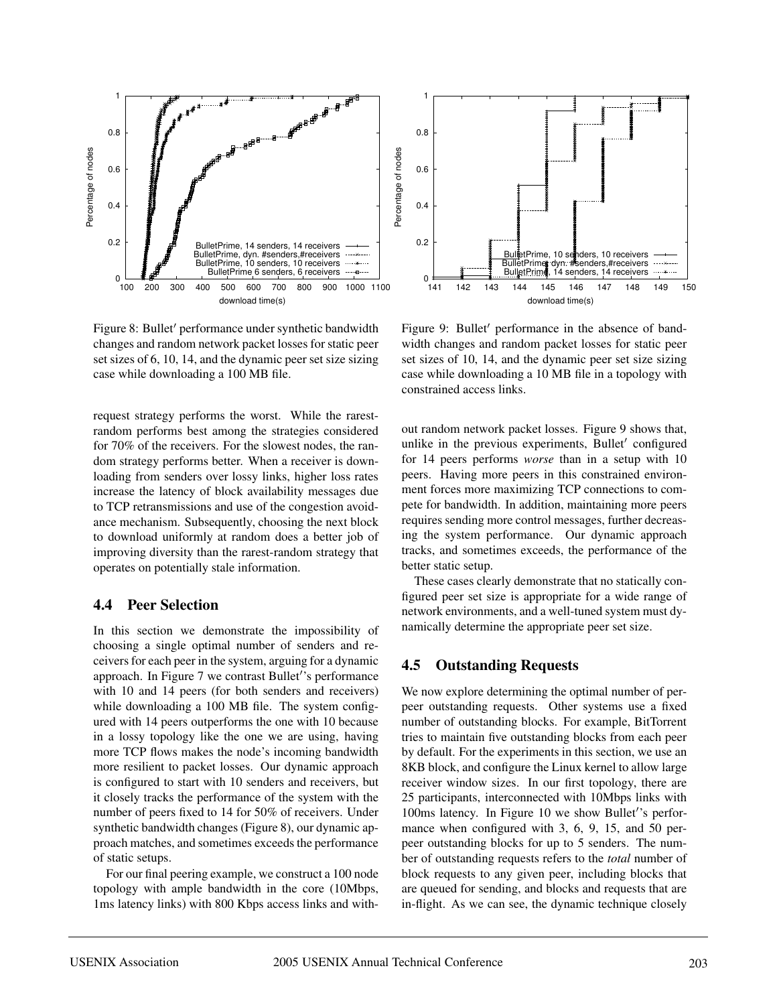

Figure 8: Bullet' performance under synthetic bandwidth changes and random network packet losses for static peer set sizes of 6, 10, 14, and the dynamic peer set size sizing case while downloading a 100 MB file.

request strategy performs the worst. While the rarestrandom performs best among the strategies considered for 70% of the receivers. For the slowest nodes, the random strategy performs better. When a receiver is downloading from senders over lossy links, higher loss rates increase the latency of block availability messages due to TCP retransmissions and use of the congestion avoidance mechanism. Subsequently, choosing the next block to download uniformly at random does a better job of improving diversity than the rarest-random strategy that operates on potentially stale information.

### **4.4 Peer Selection**

In this section we demonstrate the impossibility of choosing a single optimal number of senders and receivers for each peer in the system, arguing for a dynamic approach. In Figure 7 we contrast Bullet''s performance with 10 and 14 peers (for both senders and receivers) while downloading a 100 MB file. The system configured with 14 peers outperforms the one with 10 because in a lossy topology like the one we are using, having more TCP flows makes the node's incoming bandwidth more resilient to packet losses. Our dynamic approach is configured to start with 10 senders and receivers, but it closely tracks the performance of the system with the number of peers fixed to 14 for 50% of receivers. Under synthetic bandwidth changes (Figure 8), our dynamic approach matches, and sometimes exceeds the performance of static setups.

For our final peering example, we construct a 100 node topology with ample bandwidth in the core (10Mbps, 1ms latency links) with 800 Kbps access links and with-



Figure 9: Bullet' performance in the absence of bandwidth changes and random packet losses for static peer set sizes of 10, 14, and the dynamic peer set size sizing case while downloading a 10 MB file in a topology with constrained access links.

out random network packet losses. Figure 9 shows that, unlike in the previous experiments, Bullet' configured for 14 peers performs *worse* than in a setup with 10 peers. Having more peers in this constrained environment forces more maximizing TCP connections to compete for bandwidth. In addition, maintaining more peers requires sending more control messages, further decreasing the system performance. Our dynamic approach tracks, and sometimes exceeds, the performance of the better static setup.

These cases clearly demonstrate that no statically configured peer set size is appropriate for a wide range of network environments, and a well-tuned system must dynamically determine the appropriate peer set size.

## **4.5 Outstanding Requests**

We now explore determining the optimal number of perpeer outstanding requests. Other systems use a fixed number of outstanding blocks. For example, BitTorrent tries to maintain five outstanding blocks from each peer by default. For the experiments in this section, we use an 8KB block, and configure the Linux kernel to allow large receiver window sizes. In our first topology, there are 25 participants, interconnected with 10Mbps links with 100ms latency. In Figure 10 we show Bullet''s performance when configured with 3, 6, 9, 15, and 50 perpeer outstanding blocks for up to 5 senders. The number of outstanding requests refers to the *total* number of block requests to any given peer, including blocks that are queued for sending, and blocks and requests that are in-flight. As we can see, the dynamic technique closely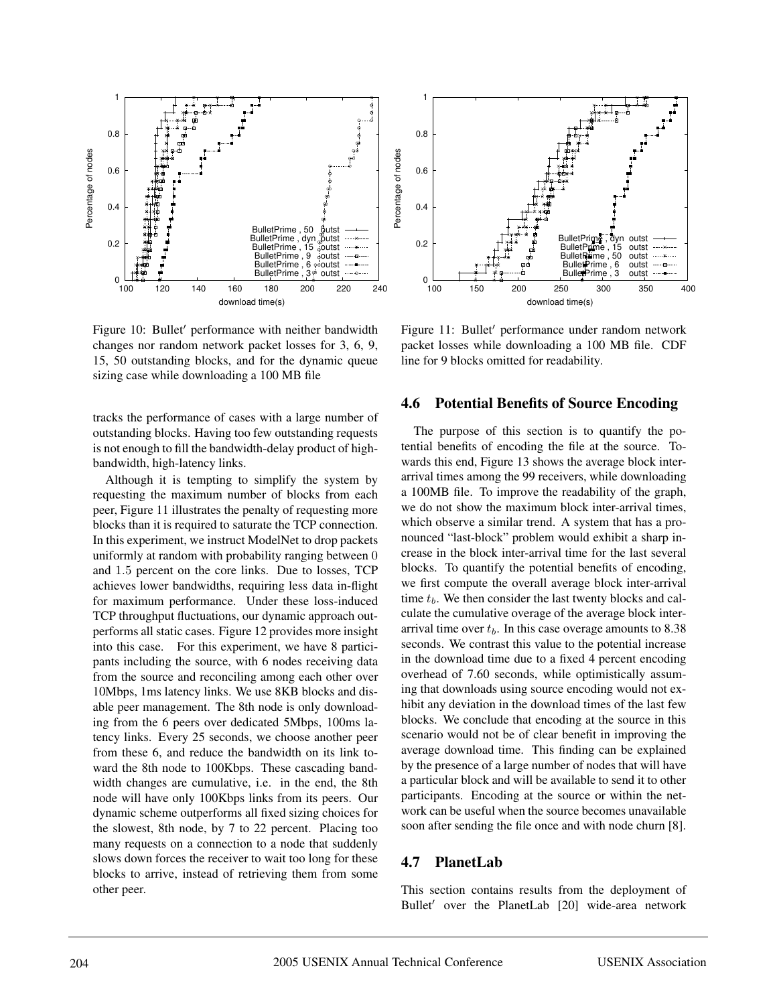

Figure 10: Bullet' performance with neither bandwidth changes nor random network packet losses for 3, 6, 9, 15, 50 outstanding blocks, and for the dynamic queue sizing case while downloading a 100 MB file

tracks the performance of cases with a large number of outstanding blocks. Having too few outstanding requests is not enough to fill the bandwidth-delay product of highbandwidth, high-latency links.

Although it is tempting to simplify the system by requesting the maximum number of blocks from each peer, Figure 11 illustrates the penalty of requesting more blocks than it is required to saturate the TCP connection. In this experiment, we instruct ModelNet to drop packets uniformly at random with probability ranging between 0 and 1.5 percent on the core links. Due to losses, TCP achieves lower bandwidths, requiring less data in-flight for maximum performance. Under these loss-induced TCP throughput fluctuations, our dynamic approach outperforms all static cases. Figure 12 provides more insight into this case. For this experiment, we have 8 participants including the source, with 6 nodes receiving data from the source and reconciling among each other over 10Mbps, 1ms latency links. We use 8KB blocks and disable peer management. The 8th node is only downloading from the 6 peers over dedicated 5Mbps, 100ms latency links. Every 25 seconds, we choose another peer from these 6, and reduce the bandwidth on its link toward the 8th node to 100Kbps. These cascading bandwidth changes are cumulative, i.e. in the end, the 8th node will have only 100Kbps links from its peers. Our dynamic scheme outperforms all fixed sizing choices for the slowest, 8th node, by 7 to 22 percent. Placing too many requests on a connection to a node that suddenly slows down forces the receiver to wait too long for these blocks to arrive, instead of retrieving them from some other peer.



Figure 11: Bullet' performance under random network packet losses while downloading a 100 MB file. CDF line for 9 blocks omitted for readability.

#### **4.6 Potential Benefits of Source Encoding**

The purpose of this section is to quantify the potential benefits of encoding the file at the source. Towards this end, Figure 13 shows the average block interarrival times among the 99 receivers, while downloading a 100MB file. To improve the readability of the graph, we do not show the maximum block inter-arrival times, which observe a similar trend. A system that has a pronounced "last-block" problem would exhibit a sharp increase in the block inter-arrival time for the last several blocks. To quantify the potential benefits of encoding, we first compute the overall average block inter-arrival time  $t_b$ . We then consider the last twenty blocks and calculate the cumulative overage of the average block interarrival time over  $t_b$ . In this case overage amounts to 8.38 seconds. We contrast this value to the potential increase in the download time due to a fixed 4 percent encoding overhead of 7.60 seconds, while optimistically assuming that downloads using source encoding would not exhibit any deviation in the download times of the last few blocks. We conclude that encoding at the source in this scenario would not be of clear benefit in improving the average download time. This finding can be explained by the presence of a large number of nodes that will have a particular block and will be available to send it to other participants. Encoding at the source or within the network can be useful when the source becomes unavailable soon after sending the file once and with node churn [8].

#### **4.7 PlanetLab**

This section contains results from the deployment of Bullet' over the PlanetLab [20] wide-area network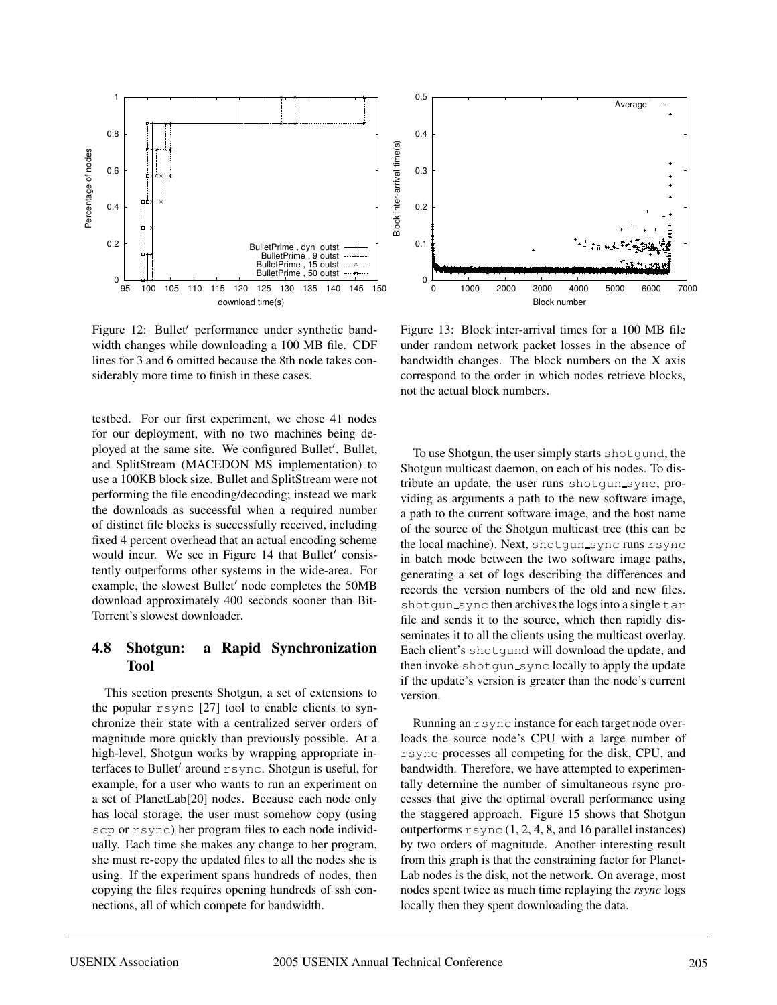

Figure 12: Bullet' performance under synthetic bandwidth changes while downloading a 100 MB file. CDF lines for 3 and 6 omitted because the 8th node takes considerably more time to finish in these cases.

testbed. For our first experiment, we chose 41 nodes for our deployment, with no two machines being deployed at the same site. We configured Bullet', Bullet, and SplitStream (MACEDON MS implementation) to use a 100KB block size. Bullet and SplitStream were not performing the file encoding/decoding; instead we mark the downloads as successful when a required number of distinct file blocks is successfully received, including fixed 4 percent overhead that an actual encoding scheme would incur. We see in Figure 14 that Bullet' consistently outperforms other systems in the wide-area. For example, the slowest Bullet' node completes the 50MB download approximately 400 seconds sooner than Bit-Torrent's slowest downloader.

## **4.8 Shotgun: a Rapid Synchronization Tool**

This section presents Shotgun, a set of extensions to the popular rsync [27] tool to enable clients to synchronize their state with a centralized server orders of magnitude more quickly than previously possible. At a high-level, Shotgun works by wrapping appropriate interfaces to Bullet' around  $r$  sync. Shotgun is useful, for example, for a user who wants to run an experiment on a set of PlanetLab[20] nodes. Because each node only has local storage, the user must somehow copy (using scp or rsync) her program files to each node individually. Each time she makes any change to her program, she must re-copy the updated files to all the nodes she is using. If the experiment spans hundreds of nodes, then copying the files requires opening hundreds of ssh connections, all of which compete for bandwidth.



Figure 13: Block inter-arrival times for a 100 MB file under random network packet losses in the absence of bandwidth changes. The block numbers on the X axis correspond to the order in which nodes retrieve blocks, not the actual block numbers.

To use Shotgun, the user simply starts shotgund, the Shotgun multicast daemon, on each of his nodes. To distribute an update, the user runs shotgun\_sync, providing as arguments a path to the new software image, a path to the current software image, and the host name of the source of the Shotgun multicast tree (this can be the local machine). Next, shotgun sync runs rsync in batch mode between the two software image paths, generating a set of logs describing the differences and records the version numbers of the old and new files. shot gun\_sync then archives the logs into a single tar file and sends it to the source, which then rapidly disseminates it to all the clients using the multicast overlay. Each client's shotgund will download the update, and then invoke shotgun\_sync locally to apply the update if the update's version is greater than the node's current version.

Running an rsync instance for each target node overloads the source node's CPU with a large number of rsync processes all competing for the disk, CPU, and bandwidth. Therefore, we have attempted to experimentally determine the number of simultaneous rsync processes that give the optimal overall performance using the staggered approach. Figure 15 shows that Shotgun outperforms  $r$  sync (1, 2, 4, 8, and 16 parallel instances) by two orders of magnitude. Another interesting result from this graph is that the constraining factor for Planet-Lab nodes is the disk, not the network. On average, most nodes spent twice as much time replaying the *rsync* logs locally then they spent downloading the data.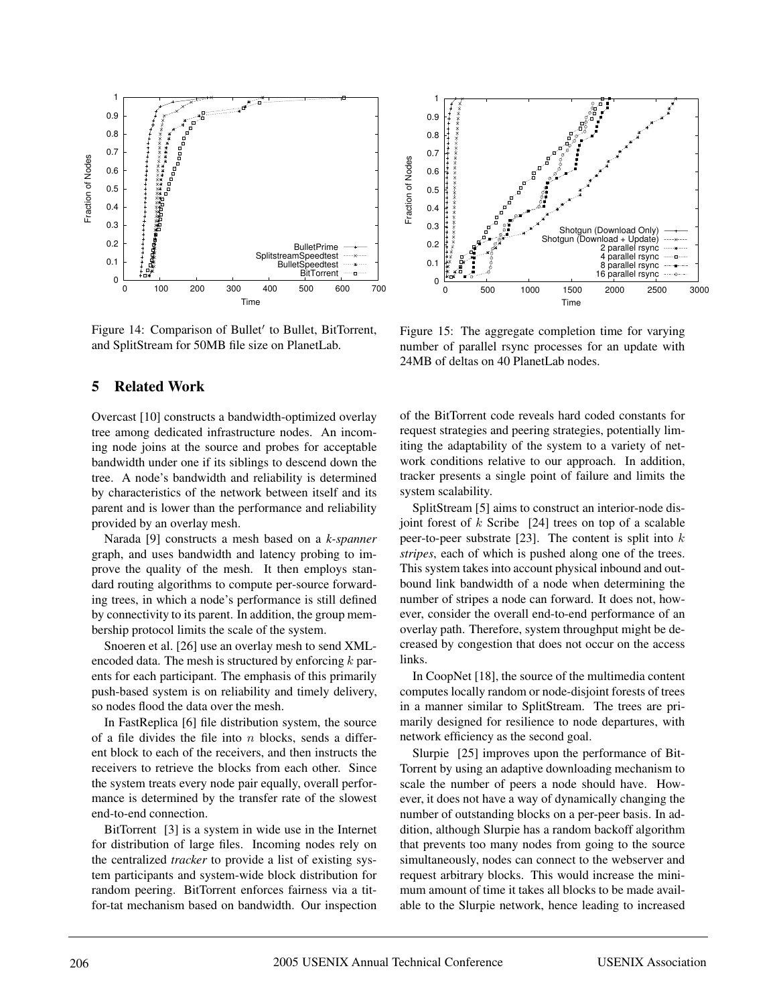

Figure 14: Comparison of Bullet' to Bullet, BitTorrent, and SplitStream for 50MB file size on PlanetLab.

## **5 Related Work**

Overcast [10] constructs a bandwidth-optimized overlay tree among dedicated infrastructure nodes. An incoming node joins at the source and probes for acceptable bandwidth under one if its siblings to descend down the tree. A node's bandwidth and reliability is determined by characteristics of the network between itself and its parent and is lower than the performance and reliability provided by an overlay mesh.

Narada [9] constructs a mesh based on a *k-spanner* graph, and uses bandwidth and latency probing to improve the quality of the mesh. It then employs standard routing algorithms to compute per-source forwarding trees, in which a node's performance is still defined by connectivity to its parent. In addition, the group membership protocol limits the scale of the system.

Snoeren et al. [26] use an overlay mesh to send XMLencoded data. The mesh is structured by enforcing  $k$  parents for each participant. The emphasis of this primarily push-based system is on reliability and timely delivery, so nodes flood the data over the mesh.

In FastReplica [6] file distribution system, the source of a file divides the file into  $n$  blocks, sends a different block to each of the receivers, and then instructs the receivers to retrieve the blocks from each other. Since the system treats every node pair equally, overall performance is determined by the transfer rate of the slowest end-to-end connection.

BitTorrent [3] is a system in wide use in the Internet for distribution of large files. Incoming nodes rely on the centralized *tracker* to provide a list of existing system participants and system-wide block distribution for random peering. BitTorrent enforces fairness via a titfor-tat mechanism based on bandwidth. Our inspection



Figure 15: The aggregate completion time for varying number of parallel rsync processes for an update with 24MB of deltas on 40 PlanetLab nodes.

of the BitTorrent code reveals hard coded constants for request strategies and peering strategies, potentially limiting the adaptability of the system to a variety of network conditions relative to our approach. In addition, tracker presents a single point of failure and limits the system scalability.

SplitStream [5] aims to construct an interior-node disjoint forest of  $k$  Scribe [24] trees on top of a scalable peer-to-peer substrate [23]. The content is split into  $k$ *stripes*, each of which is pushed along one of the trees. This system takes into account physical inbound and outbound link bandwidth of a node when determining the number of stripes a node can forward. It does not, however, consider the overall end-to-end performance of an overlay path. Therefore, system throughput might be decreased by congestion that does not occur on the access links.

In CoopNet [18], the source of the multimedia content computes locally random or node-disjoint forests of trees in a manner similar to SplitStream. The trees are primarily designed for resilience to node departures, with network efficiency as the second goal.

Slurpie [25] improves upon the performance of Bit-Torrent by using an adaptive downloading mechanism to scale the number of peers a node should have. However, it does not have a way of dynamically changing the number of outstanding blocks on a per-peer basis. In addition, although Slurpie has a random backoff algorithm that prevents too many nodes from going to the source simultaneously, nodes can connect to the webserver and request arbitrary blocks. This would increase the minimum amount of time it takes all blocks to be made available to the Slurpie network, hence leading to increased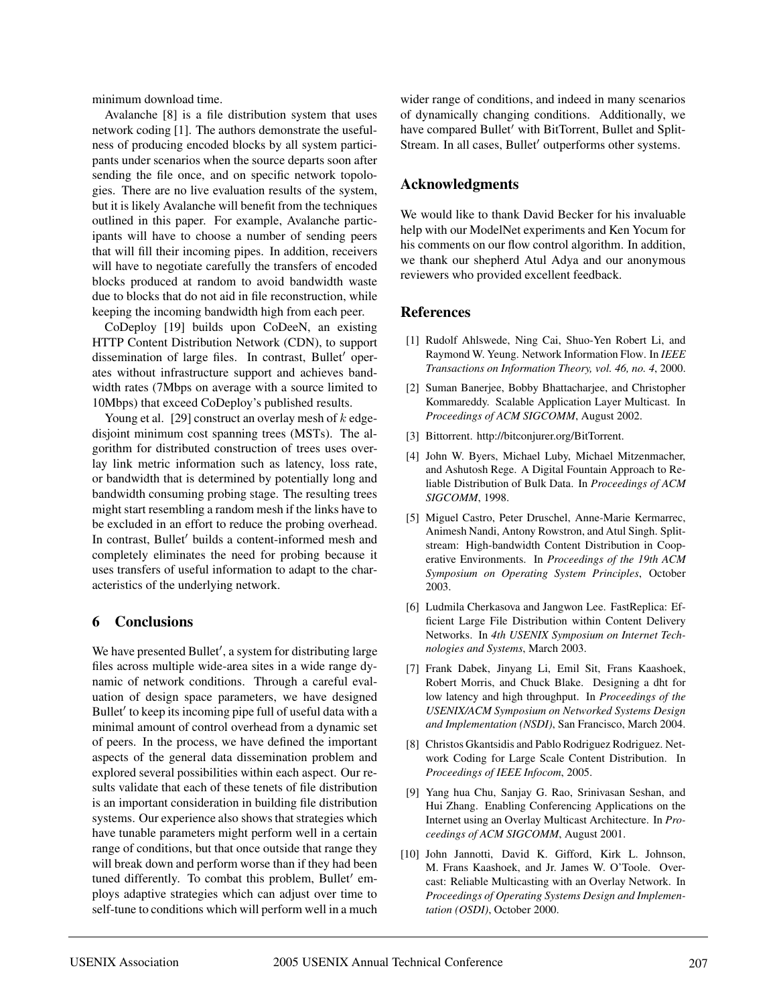minimum download time.

Avalanche [8] is a file distribution system that uses network coding [1]. The authors demonstrate the usefulness of producing encoded blocks by all system participants under scenarios when the source departs soon after sending the file once, and on specific network topologies. There are no live evaluation results of the system, but it is likely Avalanche will benefit from the techniques outlined in this paper. For example, Avalanche participants will have to choose a number of sending peers that will fill their incoming pipes. In addition, receivers will have to negotiate carefully the transfers of encoded blocks produced at random to avoid bandwidth waste due to blocks that do not aid in file reconstruction, while keeping the incoming bandwidth high from each peer.

CoDeploy [19] builds upon CoDeeN, an existing HTTP Content Distribution Network (CDN), to support dissemination of large files. In contrast, Bullet' operates without infrastructure support and achieves bandwidth rates (7Mbps on average with a source limited to 10Mbps) that exceed CoDeploy's published results.

Young et al. [29] construct an overlay mesh of  $k$  edgedisjoint minimum cost spanning trees (MSTs). The algorithm for distributed construction of trees uses overlay link metric information such as latency, loss rate, or bandwidth that is determined by potentially long and bandwidth consuming probing stage. The resulting trees might start resembling a random mesh if the links have to be excluded in an effort to reduce the probing overhead. In contrast, Bullet' builds a content-informed mesh and completely eliminates the need for probing because it uses transfers of useful information to adapt to the characteristics of the underlying network.

#### **6 Conclusions**

We have presented Bullet', a system for distributing large files across multiple wide-area sites in a wide range dynamic of network conditions. Through a careful evaluation of design space parameters, we have designed Bullet' to keep its incoming pipe full of useful data with a minimal amount of control overhead from a dynamic set of peers. In the process, we have defined the important aspects of the general data dissemination problem and explored several possibilities within each aspect. Our results validate that each of these tenets of file distribution is an important consideration in building file distribution systems. Our experience also shows that strategies which have tunable parameters might perform well in a certain range of conditions, but that once outside that range they will break down and perform worse than if they had been tuned differently. To combat this problem, Bullet' employs adaptive strategies which can adjust over time to self-tune to conditions which will perform well in a much

wider range of conditions, and indeed in many scenarios of dynamically changing conditions. Additionally, we have compared Bullet' with BitTorrent, Bullet and Split-Stream. In all cases, Bullet' outperforms other systems.

#### **Acknowledgments**

We would like to thank David Becker for his invaluable help with our ModelNet experiments and Ken Yocum for his comments on our flow control algorithm. In addition, we thank our shepherd Atul Adya and our anonymous reviewers who provided excellent feedback.

#### **References**

- [1] Rudolf Ahlswede, Ning Cai, Shuo-Yen Robert Li, and Raymond W. Yeung. Network Information Flow. In *IEEE Transactions on Information Theory, vol. 46, no. 4*, 2000.
- [2] Suman Banerjee, Bobby Bhattacharjee, and Christopher Kommareddy. Scalable Application Layer Multicast. In *Proceedings of ACM SIGCOMM*, August 2002.
- [3] Bittorrent. http://bitconjurer.org/BitTorrent.
- [4] John W. Byers, Michael Luby, Michael Mitzenmacher, and Ashutosh Rege. A Digital Fountain Approach to Reliable Distribution of Bulk Data. In *Proceedings of ACM SIGCOMM*, 1998.
- [5] Miguel Castro, Peter Druschel, Anne-Marie Kermarrec, Animesh Nandi, Antony Rowstron, and Atul Singh. Splitstream: High-bandwidth Content Distribution in Cooperative Environments. In *Proceedings of the 19th ACM Symposium on Operating System Principles*, October 2003.
- [6] Ludmila Cherkasova and Jangwon Lee. FastReplica: Efficient Large File Distribution within Content Delivery Networks. In *4th USENIX Symposium on Internet Technologies and Systems*, March 2003.
- [7] Frank Dabek, Jinyang Li, Emil Sit, Frans Kaashoek, Robert Morris, and Chuck Blake. Designing a dht for low latency and high throughput. In *Proceedings of the USENIX/ACM Symposium on Networked Systems Design and Implementation (NSDI)*, San Francisco, March 2004.
- [8] Christos Gkantsidis and Pablo Rodriguez Rodriguez. Network Coding for Large Scale Content Distribution. In *Proceedings of IEEE Infocom*, 2005.
- [9] Yang hua Chu, Sanjay G. Rao, Srinivasan Seshan, and Hui Zhang. Enabling Conferencing Applications on the Internet using an Overlay Multicast Architecture. In *Proceedings of ACM SIGCOMM*, August 2001.
- [10] John Jannotti, David K. Gifford, Kirk L. Johnson, M. Frans Kaashoek, and Jr. James W. O'Toole. Overcast: Reliable Multicasting with an Overlay Network. In *Proceedings of Operating Systems Design and Implementation (OSDI)*, October 2000.